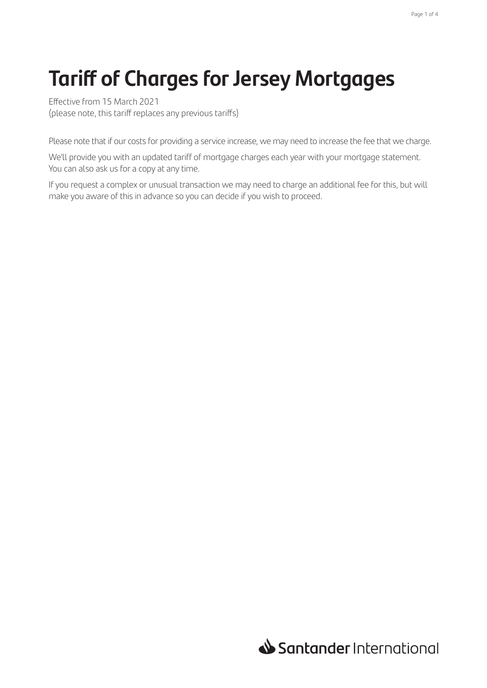# **Tariff of Charges for Jersey Mortgages**

Effective from 15 March 2021 (please note, this tariff replaces any previous tariffs)

Please note that if our costs for providing a service increase, we may need to increase the fee that we charge.

We'll provide you with an updated tariff of mortgage charges each year with your mortgage statement. You can also ask us for a copy at any time.

If you request a complex or unusual transaction we may need to charge an additional fee for this, but will make you aware of this in advance so you can decide if you wish to proceed.

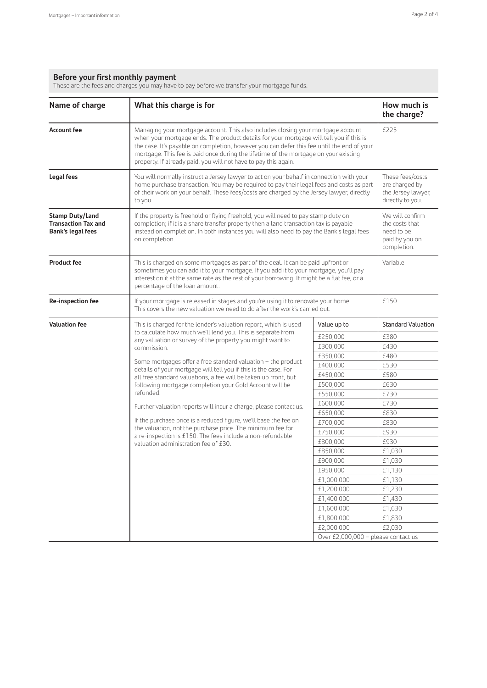#### **Before your first monthly payment**

These are the fees and charges you may have to pay before we transfer your mortgage funds.

| Name of charge                                                                   | What this charge is for                                                                                                                                                                                                                                                                                                                                                                                                              | How much is<br>the charge?          |                                                                                  |
|----------------------------------------------------------------------------------|--------------------------------------------------------------------------------------------------------------------------------------------------------------------------------------------------------------------------------------------------------------------------------------------------------------------------------------------------------------------------------------------------------------------------------------|-------------------------------------|----------------------------------------------------------------------------------|
| <b>Account fee</b>                                                               | Managing your mortgage account. This also includes closing your mortgage account<br>when your mortgage ends. The product details for your mortgage will tell you if this is<br>the case. It's payable on completion, however you can defer this fee until the end of your<br>mortgage. This fee is paid once during the lifetime of the mortgage on your existing<br>property. If already paid, you will not have to pay this again. | £225                                |                                                                                  |
| Legal fees                                                                       | You will normally instruct a Jersey lawyer to act on your behalf in connection with your<br>home purchase transaction. You may be required to pay their legal fees and costs as part<br>of their work on your behalf. These fees/costs are charged by the Jersey lawyer, directly<br>to you.                                                                                                                                         |                                     | These fees/costs<br>are charged by<br>the Jersey lawyer,<br>directly to you.     |
| <b>Stamp Duty/Land</b><br><b>Transaction Tax and</b><br><b>Bank's legal fees</b> | If the property is freehold or flying freehold, you will need to pay stamp duty on<br>completion; if it is a share transfer property then a land transaction tax is payable<br>instead on completion. In both instances you will also need to pay the Bank's legal fees<br>on completion.                                                                                                                                            |                                     | We will confirm<br>the costs that<br>need to be<br>paid by you on<br>completion. |
| <b>Product fee</b>                                                               | This is charged on some mortgages as part of the deal. It can be paid upfront or<br>sometimes you can add it to your mortgage. If you add it to your mortgage, you'll pay<br>interest on it at the same rate as the rest of your borrowing. It might be a flat fee, or a<br>percentage of the loan amount.                                                                                                                           |                                     | Variable                                                                         |
| Re-inspection fee                                                                | If your mortgage is released in stages and you're using it to renovate your home.<br>This covers the new valuation we need to do after the work's carried out.                                                                                                                                                                                                                                                                       | £150                                |                                                                                  |
| <b>Valuation fee</b>                                                             | This is charged for the lender's valuation report, which is used                                                                                                                                                                                                                                                                                                                                                                     | Value up to                         | <b>Standard Valuation</b>                                                        |
|                                                                                  | to calculate how much we'll lend you. This is separate from                                                                                                                                                                                                                                                                                                                                                                          | £250,000                            | £380                                                                             |
|                                                                                  | any valuation or survey of the property you might want to<br>commission.                                                                                                                                                                                                                                                                                                                                                             | £300,000                            | £430                                                                             |
|                                                                                  |                                                                                                                                                                                                                                                                                                                                                                                                                                      | £350,000                            | £480                                                                             |
|                                                                                  | Some mortgages offer a free standard valuation - the product<br>details of your mortgage will tell you if this is the case. For                                                                                                                                                                                                                                                                                                      | £400,000                            | £530                                                                             |
|                                                                                  | all free standard valuations, a fee will be taken up front, but                                                                                                                                                                                                                                                                                                                                                                      | £450,000                            | £580                                                                             |
|                                                                                  | following mortgage completion your Gold Account will be                                                                                                                                                                                                                                                                                                                                                                              | £500,000                            | £630                                                                             |
|                                                                                  | refunded.                                                                                                                                                                                                                                                                                                                                                                                                                            | £550,000                            | £730                                                                             |
|                                                                                  | Further valuation reports will incur a charge, please contact us.                                                                                                                                                                                                                                                                                                                                                                    | £600,000                            | £730                                                                             |
|                                                                                  |                                                                                                                                                                                                                                                                                                                                                                                                                                      | £650,000                            | £830                                                                             |
|                                                                                  | If the purchase price is a reduced figure, we'll base the fee on<br>the valuation, not the purchase price. The minimum fee for                                                                                                                                                                                                                                                                                                       | £700,000                            | £830                                                                             |
|                                                                                  | a re-inspection is £150. The fees include a non-refundable                                                                                                                                                                                                                                                                                                                                                                           | £750,000                            | £930                                                                             |
|                                                                                  | valuation administration fee of £30.                                                                                                                                                                                                                                                                                                                                                                                                 | £800,000                            | £930                                                                             |
|                                                                                  |                                                                                                                                                                                                                                                                                                                                                                                                                                      | £850,000                            | £1,030                                                                           |
|                                                                                  |                                                                                                                                                                                                                                                                                                                                                                                                                                      | £900,000                            | £1,030                                                                           |
|                                                                                  |                                                                                                                                                                                                                                                                                                                                                                                                                                      | £950,000                            | £1,130                                                                           |
|                                                                                  |                                                                                                                                                                                                                                                                                                                                                                                                                                      | £1,000,000                          | £1,130                                                                           |
|                                                                                  |                                                                                                                                                                                                                                                                                                                                                                                                                                      | £1,200,000                          | £1,230                                                                           |
|                                                                                  |                                                                                                                                                                                                                                                                                                                                                                                                                                      | £1,400,000                          | £1,430                                                                           |
|                                                                                  |                                                                                                                                                                                                                                                                                                                                                                                                                                      | £1,600,000                          | £1,630                                                                           |
|                                                                                  |                                                                                                                                                                                                                                                                                                                                                                                                                                      | £1,800,000                          | £1,830                                                                           |
|                                                                                  |                                                                                                                                                                                                                                                                                                                                                                                                                                      | £2,000,000                          | £2,030                                                                           |
|                                                                                  |                                                                                                                                                                                                                                                                                                                                                                                                                                      | Over £2,000,000 - please contact us |                                                                                  |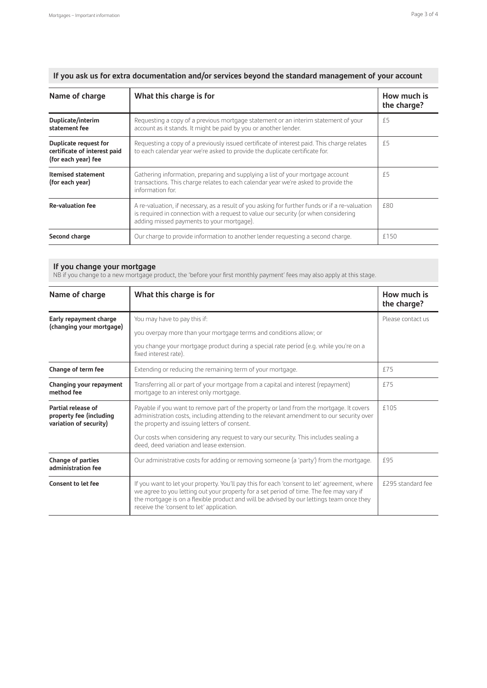**If you ask us for extra documentation and/or services beyond the standard management of your account**

| Name of charge                                                               | What this charge is for                                                                                                                                                                                                            | How much is<br>the charge? |
|------------------------------------------------------------------------------|------------------------------------------------------------------------------------------------------------------------------------------------------------------------------------------------------------------------------------|----------------------------|
| Duplicate/interim<br>statement fee                                           | Requesting a copy of a previous mortgage statement or an interim statement of your<br>account as it stands. It might be paid by you or another lender.                                                                             | f5                         |
| Duplicate request for<br>certificate of interest paid<br>(for each year) fee | Requesting a copy of a previously issued certificate of interest paid. This charge relates<br>to each calendar year we're asked to provide the duplicate certificate for.                                                          | f5                         |
| <b>Itemised statement</b><br>(for each year)                                 | Gathering information, preparing and supplying a list of your mortgage account<br>transactions. This charge relates to each calendar year we're asked to provide the<br>information for.                                           | £5                         |
| <b>Re-valuation fee</b>                                                      | A re-valuation, if necessary, as a result of you asking for further funds or if a re-valuation<br>is required in connection with a request to value our security (or when considering<br>adding missed payments to your mortgage). | f80                        |
| Second charge                                                                | Our charge to provide information to another lender requesting a second charge.                                                                                                                                                    | £150                       |

#### **If you change your mortgage**

NB if you change to a new mortgage product, the 'before your first monthly payment' fees may also apply at this stage.

| Name of charge                                                          | What this charge is for                                                                                                                                                                                                                                                                                                          | How much is<br>the charge? |
|-------------------------------------------------------------------------|----------------------------------------------------------------------------------------------------------------------------------------------------------------------------------------------------------------------------------------------------------------------------------------------------------------------------------|----------------------------|
| Early repayment charge<br>(changing your mortgage)                      | You may have to pay this if:                                                                                                                                                                                                                                                                                                     | Please contact us          |
|                                                                         | you overpay more than your mortgage terms and conditions allow; or                                                                                                                                                                                                                                                               |                            |
|                                                                         | you change your mortgage product during a special rate period (e.g. while you're on a<br>fixed interest rate).                                                                                                                                                                                                                   |                            |
| Change of term fee                                                      | Extending or reducing the remaining term of your mortgage.                                                                                                                                                                                                                                                                       | £75                        |
| Changing your repayment<br>method fee                                   | Transferring all or part of your mortgage from a capital and interest (repayment)<br>mortgage to an interest only mortgage.                                                                                                                                                                                                      | f75                        |
| Partial release of<br>property fee (including<br>variation of security) | Payable if you want to remove part of the property or land from the mortgage. It covers<br>administration costs, including attending to the relevant amendment to our security over<br>the property and issuing letters of consent.                                                                                              | £105                       |
|                                                                         | Our costs when considering any request to vary our security. This includes sealing a<br>deed, deed variation and lease extension.                                                                                                                                                                                                |                            |
| Change of parties<br>administration fee                                 | Our administrative costs for adding or removing someone (a 'party') from the mortgage.                                                                                                                                                                                                                                           | £95                        |
| Consent to let fee                                                      | If you want to let your property. You'll pay this for each 'consent to let' agreement, where<br>we agree to you letting out your property for a set period of time. The fee may vary if<br>the mortgage is on a flexible product and will be advised by our lettings team once they<br>receive the 'consent to let' application. | £295 standard fee          |